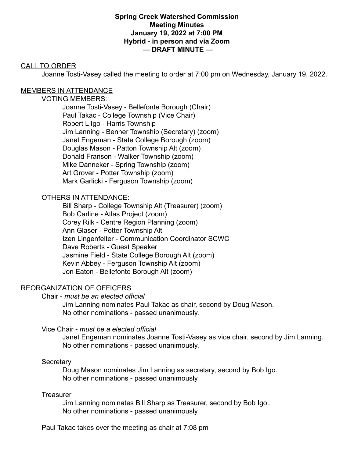### **Spring Creek Watershed Commission Meeting Minutes January 19, 2022 at 7:00 PM Hybrid - in person and via Zoom — DRAFT MINUTE —**

## CALL TO ORDER

Joanne Tosti-Vasey called the meeting to order at 7:00 pm on Wednesday, January 19, 2022.

## MEMBERS IN ATTENDANCE

## VOTING MEMBERS:

Joanne Tosti-Vasey - Bellefonte Borough (Chair) Paul Takac - College Township (Vice Chair) Robert L Igo - Harris Township Jim Lanning - Benner Township (Secretary) (zoom) Janet Engeman - State College Borough (zoom) Douglas Mason - Patton Township Alt (zoom) Donald Franson - Walker Township (zoom) Mike Danneker - Spring Township (zoom) Art Grover - Potter Township (zoom) Mark Garlicki - Ferguson Township (zoom)

# OTHERS IN ATTENDANCE:

Bill Sharp - College Township Alt (Treasurer) (zoom) Bob Carline - Atlas Project (zoom) Corey Rilk - Centre Region Planning (zoom) Ann Glaser - Potter Township Alt Izen Lingenfelter - Communication Coordinator SCWC Dave Roberts - Guest Speaker Jasmine Field - State College Borough Alt (zoom) Kevin Abbey - Ferguson Township Alt (zoom) Jon Eaton - Bellefonte Borough Alt (zoom)

# REORGANIZATION OF OFFICERS

Chair - *must be an elected official*

Jim Lanning nominates Paul Takac as chair, second by Doug Mason. No other nominations - passed unanimously.

## Vice Chair - *must be a elected official*

Janet Engeman nominates Joanne Tosti-Vasey as vice chair, second by Jim Lanning. No other nominations - passed unanimously.

## **Secretary**

Doug Mason nominates Jim Lanning as secretary, second by Bob Igo. No other nominations - passed unanimously

## **Treasurer**

Jim Lanning nominates Bill Sharp as Treasurer, second by Bob Igo.. No other nominations - passed unanimously

Paul Takac takes over the meeting as chair at 7:08 pm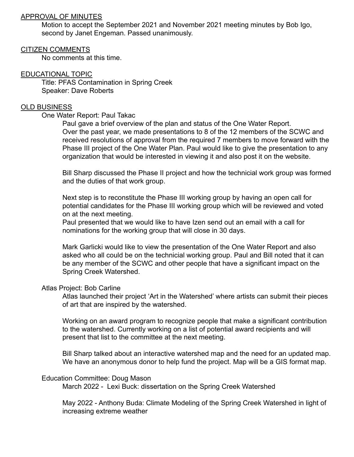### APPROVAL OF MINUTES

Motion to accept the September 2021 and November 2021 meeting minutes by Bob Igo, second by Janet Engeman. Passed unanimously.

### CITIZEN COMMENTS

No comments at this time.

## EDUCATIONAL TOPIC

Title: PFAS Contamination in Spring Creek Speaker: Dave Roberts

## OLD BUSINESS

## One Water Report: Paul Takac

Paul gave a brief overview of the plan and status of the One Water Report. Over the past year, we made presentations to 8 of the 12 members of the SCWC and received resolutions of approval from the required 7 members to move forward with the Phase III project of the One Water Plan. Paul would like to give the presentation to any organization that would be interested in viewing it and also post it on the website.

Bill Sharp discussed the Phase II project and how the technicial work group was formed and the duties of that work group.

Next step is to reconstitute the Phase III working group by having an open call for potential candidates for the Phase III working group which will be reviewed and voted on at the next meeting.

Paul presented that we would like to have Izen send out an email with a call for nominations for the working group that will close in 30 days.

Mark Garlicki would like to view the presentation of the One Water Report and also asked who all could be on the technicial working group. Paul and Bill noted that it can be any member of the SCWC and other people that have a significant impact on the Spring Creek Watershed.

#### Atlas Project: Bob Carline

Atlas launched their project 'Art in the Watershed' where artists can submit their pieces of art that are inspired by the watershed.

Working on an award program to recognize people that make a significant contribution to the watershed. Currently working on a list of potential award recipients and will present that list to the committee at the next meeting.

Bill Sharp talked about an interactive watershed map and the need for an updated map. We have an anonymous donor to help fund the project. Map will be a GIS format map.

#### Education Committee: Doug Mason

March 2022 - Lexi Buck: dissertation on the Spring Creek Watershed

May 2022 - Anthony Buda: Climate Modeling of the Spring Creek Watershed in light of increasing extreme weather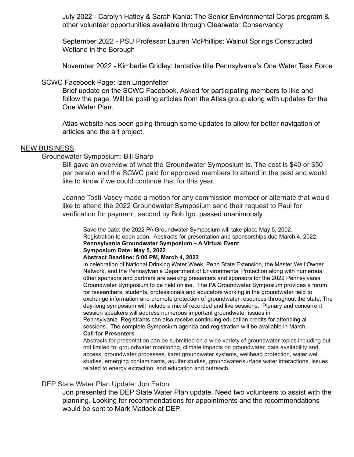July 2022 - Carolyn Hatley & Sarah Kania: The Senior Environmental Corps program & other volunteer opportunities available through Clearwater Conservancy

September 2022 - PSU Professor Lauren McPhillips: Walnut Springs Constructed Wetland in the Borough

November 2022 - Kimberlie Gridley: tentative title Pennsylvania's One Water Task Force

#### SCWC Facebook Page: Izen Lingenfelter

Brief update on the SCWC Facebook. Asked for participating members to like and follow the page. Will be posting articles from the Atlas group along with updates for the One Water Plan.

Atlas website has been going through some updates to allow for better navigation of articles and the art project.

#### **NEW BUSINESS**

Groundwater Symposium: Bill Sharp

Bill gave an overview of what the Groundwater Symposium is. The cost is \$40 or \$50 per person and the SCWC paid for approved members to attend in the past and would like to know if we could continue that for this year.

Joanne Tosti-Vasey made a motion for any commission member or alternate that would like to attend the 2022 Groundwater Symposium send their request to Paul for verification for payment, second by Bob Igo. passed unanimously.

Save the date: the 2022 PA Groundwater Symposium will take place May 5, 2002. Registration to open soon. Abstracts for presentation and sponsorships due March 4, 2022. **Pennsylvania Groundwater Symposium – A Virtual Event Symposium Date: May 5, 2022**

#### **Abstract Deadline: 5:00 PM, March 4, 2022**

In celebration of National Drinking Water Week, Penn State Extension, the Master Well Owner Network, and the Pennsylvania Department of Environmental Protection along with numerous other sponsors and partners are seeking presenters and sponsors for the 2022 Pennsylvania Groundwater Symposium to be held online. The PA Groundwater Symposium provides a forum for researchers, students, professionals and educators working in the groundwater field to exchange information and promote protection of groundwater resources throughout the state. The day-long symposium will include a mix of recorded and live sessions. Plenary and concurrent session speakers will address numerous important groundwater issues in

Pennsylvania. Registrants can also receive continuing education credits for attending all sessions. The complete Symposium agenda and registration will be available in March. **Call for Presenters**

Abstracts for presentation can be submitted on a wide variety of groundwater topics including but not limited to: groundwater monitoring, climate impacts on groundwater, data availability and access, groundwater processes, karst groundwater systems, wellhead protection, water well studies, emerging contaminants, aquifer studies, groundwater/surface water interactions, issues related to energy extraction, and education and outreach.

#### DEP State Water Plan Update: Jon Eaton

Jon presented the DEP State Water Plan update. Need two volunteers to assist with the planning. Looking for recommendations for appointments and the recommendations would be sent to Mark Matlock at DEP.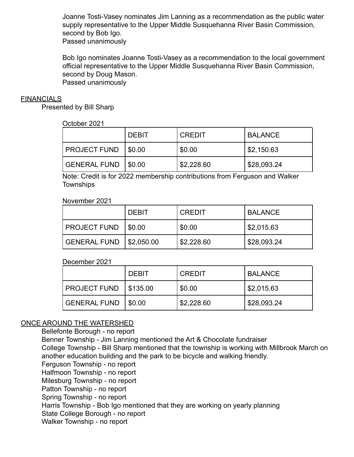Joanne Tosti-Vasey nominates Jim Lanning as a recommendation as the public water supply representative to the Upper Middle Susquehanna River Basin Commission, second by Bob Igo.

Passed unanimously

Bob Igo nominates Joanne Tosti-Vasey as a recommendation to the local government official representative to the Upper Middle Susquehanna River Basin Commission, second by Doug Mason. Passed unanimously

### **FINANCIALS**

Presented by Bill Sharp

### October 2021

|                     | <b>DEBIT</b> | <b>CREDIT</b> | <b>BALANCE</b>        |
|---------------------|--------------|---------------|-----------------------|
| <b>PROJECT FUND</b> | $1$ \$0.00   | \$0.00        | $\frac{1}{2}$ ,150.63 |
| <b>GENERAL FUND</b> | \$0.00       | \$2,228.60    | \$28,093.24           |

Note: Credit is for 2022 membership contributions from Ferguson and Walker **Townships** 

### November 2021

|                     | <b>DEBIT</b>   | <b>CREDIT</b> | <b>BALANCE</b> |
|---------------------|----------------|---------------|----------------|
| <b>PROJECT FUND</b> | $1$ \$0.00     | \$0.00        | \$2,015.63     |
| <b>GENERAL FUND</b> | $ $ \$2,050.00 | \$2,228.60    | \$28,093.24    |

## December 2021

|                     | <b>DEBIT</b> | <b>CREDIT</b> | <b>BALANCE</b> |
|---------------------|--------------|---------------|----------------|
| <b>PROJECT FUND</b> | \$135.00     | \$0.00        | \$2,015.63     |
| <b>GENERAL FUND</b> | \$0.00       | \$2,228.60    | \$28,093.24    |

# ONCE AROUND THE WATERSHED

Bellefonte Borough - no report Benner Township - Jim Lanning mentioned the Art & Chocolate fundraiser College Township - Bill Sharp mentioned that the township is working with Millbrook March on another education building and the park to be bicycle and walking friendly. Ferguson Township - no report Halfmoon Township - no report Milesburg Township - no report Patton Township - no report Spring Township - no report Harris Township - Bob Igo mentioned that they are working on yearly planning State College Borough - no report Walker Township - no report